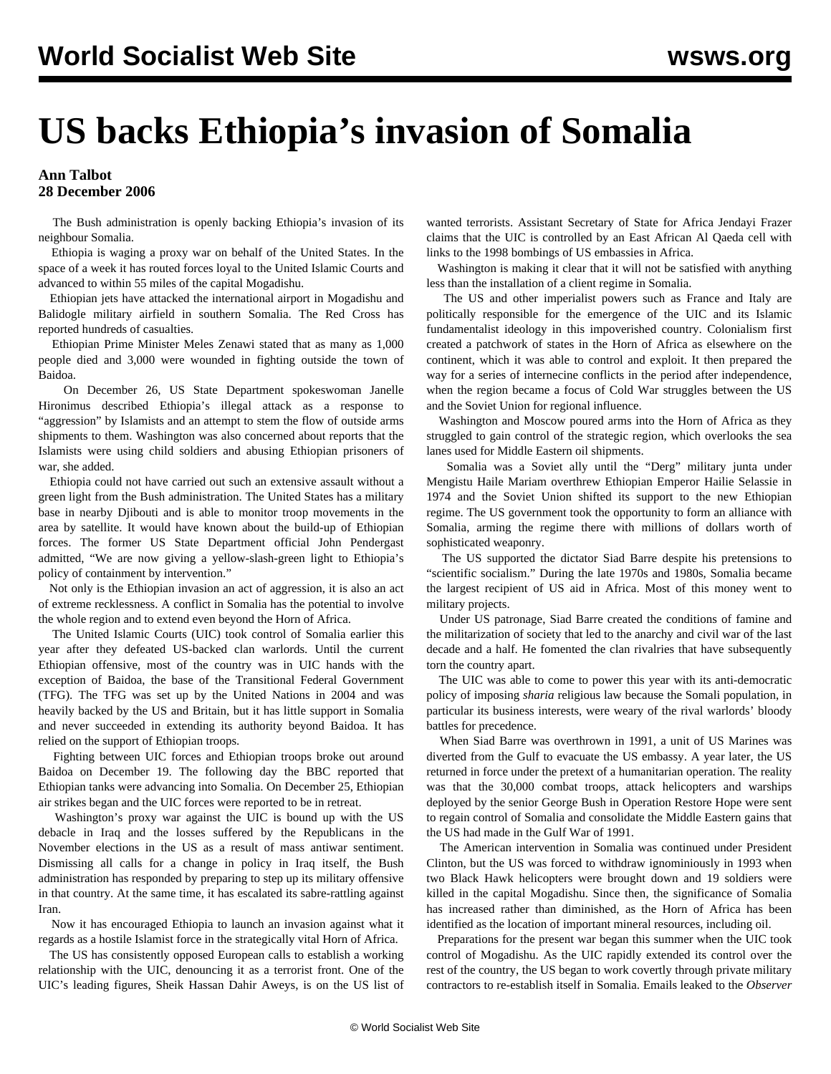## **US backs Ethiopia's invasion of Somalia**

## **Ann Talbot 28 December 2006**

 The Bush administration is openly backing Ethiopia's invasion of its neighbour Somalia.

 Ethiopia is waging a proxy war on behalf of the United States. In the space of a week it has routed forces loyal to the United Islamic Courts and advanced to within 55 miles of the capital Mogadishu.

 Ethiopian jets have attacked the international airport in Mogadishu and Balidogle military airfield in southern Somalia. The Red Cross has reported hundreds of casualties.

 Ethiopian Prime Minister Meles Zenawi stated that as many as 1,000 people died and 3,000 were wounded in fighting outside the town of Baidoa.

 On December 26, US State Department spokeswoman Janelle Hironimus described Ethiopia's illegal attack as a response to "aggression" by Islamists and an attempt to stem the flow of outside arms shipments to them. Washington was also concerned about reports that the Islamists were using child soldiers and abusing Ethiopian prisoners of war, she added.

 Ethiopia could not have carried out such an extensive assault without a green light from the Bush administration. The United States has a military base in nearby Djibouti and is able to monitor troop movements in the area by satellite. It would have known about the build-up of Ethiopian forces. The former US State Department official John Pendergast admitted, "We are now giving a yellow-slash-green light to Ethiopia's policy of containment by intervention."

 Not only is the Ethiopian invasion an act of aggression, it is also an act of extreme recklessness. A conflict in Somalia has the potential to involve the whole region and to extend even beyond the Horn of Africa.

 The United Islamic Courts (UIC) took control of Somalia earlier this year after they defeated US-backed clan warlords. Until the current Ethiopian offensive, most of the country was in UIC hands with the exception of Baidoa, the base of the Transitional Federal Government (TFG). The TFG was set up by the United Nations in 2004 and was heavily backed by the US and Britain, but it has little support in Somalia and never succeeded in extending its authority beyond Baidoa. It has relied on the support of Ethiopian troops.

 Fighting between UIC forces and Ethiopian troops broke out around Baidoa on December 19. The following day the BBC reported that Ethiopian tanks were advancing into Somalia. On December 25, Ethiopian air strikes began and the UIC forces were reported to be in retreat.

 Washington's proxy war against the UIC is bound up with the US debacle in Iraq and the losses suffered by the Republicans in the November elections in the US as a result of mass antiwar sentiment. Dismissing all calls for a change in policy in Iraq itself, the Bush administration has responded by preparing to step up its military offensive in that country. At the same time, it has escalated its sabre-rattling against Iran.

 Now it has encouraged Ethiopia to launch an invasion against what it regards as a hostile Islamist force in the strategically vital Horn of Africa.

 The US has consistently opposed European calls to establish a working relationship with the UIC, denouncing it as a terrorist front. One of the UIC's leading figures, Sheik Hassan Dahir Aweys, is on the US list of wanted terrorists. Assistant Secretary of State for Africa Jendayi Frazer claims that the UIC is controlled by an East African Al Qaeda cell with links to the 1998 bombings of US embassies in Africa.

 Washington is making it clear that it will not be satisfied with anything less than the installation of a client regime in Somalia.

 The US and other imperialist powers such as France and Italy are politically responsible for the emergence of the UIC and its Islamic fundamentalist ideology in this impoverished country. Colonialism first created a patchwork of states in the Horn of Africa as elsewhere on the continent, which it was able to control and exploit. It then prepared the way for a series of internecine conflicts in the period after independence, when the region became a focus of Cold War struggles between the US and the Soviet Union for regional influence.

 Washington and Moscow poured arms into the Horn of Africa as they struggled to gain control of the strategic region, which overlooks the sea lanes used for Middle Eastern oil shipments.

 Somalia was a Soviet ally until the "Derg" military junta under Mengistu Haile Mariam overthrew Ethiopian Emperor Hailie Selassie in 1974 and the Soviet Union shifted its support to the new Ethiopian regime. The US government took the opportunity to form an alliance with Somalia, arming the regime there with millions of dollars worth of sophisticated weaponry.

 The US supported the dictator Siad Barre despite his pretensions to "scientific socialism." During the late 1970s and 1980s, Somalia became the largest recipient of US aid in Africa. Most of this money went to military projects.

 Under US patronage, Siad Barre created the conditions of famine and the militarization of society that led to the anarchy and civil war of the last decade and a half. He fomented the clan rivalries that have subsequently torn the country apart.

 The UIC was able to come to power this year with its anti-democratic policy of imposing *sharia* religious law because the Somali population, in particular its business interests, were weary of the rival warlords' bloody battles for precedence.

 When Siad Barre was overthrown in 1991, a unit of US Marines was diverted from the Gulf to evacuate the US embassy. A year later, the US returned in force under the pretext of a humanitarian operation. The reality was that the 30,000 combat troops, attack helicopters and warships deployed by the senior George Bush in Operation Restore Hope were sent to regain control of Somalia and consolidate the Middle Eastern gains that the US had made in the Gulf War of 1991.

 The American intervention in Somalia was continued under President Clinton, but the US was forced to withdraw ignominiously in 1993 when two Black Hawk helicopters were brought down and 19 soldiers were killed in the capital Mogadishu. Since then, the significance of Somalia has increased rather than diminished, as the Horn of Africa has been identified as the location of important mineral resources, including oil.

 Preparations for the present war began this summer when the UIC took control of Mogadishu. As the UIC rapidly extended its control over the rest of the country, the US began to work covertly through private military contractors to re-establish itself in Somalia. Emails leaked to the *Observer*